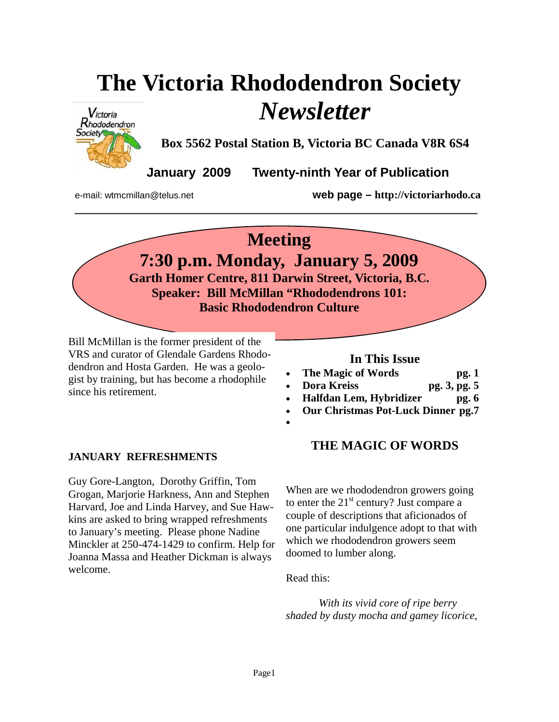# **The Victoria Rhododendron Society**  *Newsletter*



**Box 5562 Postal Station B, Victoria BC Canada V8R 6S4** 

**January 2009 Twenty-ninth Year of Publication** 

e-mail: wtmcmillan@telus.net **web page – http://victoriarhodo.ca**

# **Meeting**

**\_\_\_\_\_\_\_\_\_\_\_\_\_\_\_\_\_\_\_\_\_\_\_\_\_\_\_\_\_\_\_\_\_\_\_\_\_\_\_\_\_\_\_\_\_\_\_\_\_\_\_\_\_\_\_\_\_\_\_\_\_\_\_** 

**7:30 p.m. Monday, January 5, 2009 Garth Homer Centre, 811 Darwin Street, Victoria, B.C. Speaker: Bill McMillan "Rhododendrons 101:** 

**Basic Rhododendron Culture** 

Bill McMillan is the former president of the VRS and curator of Glendale Gardens Rhododendron and Hosta Garden. He was a geologist by training, but has become a rhodophile since his retirement.

## **In This Issue**

- **The Magic of Words pg. 1**
- **Dora Kreiss pg. 3, pg. 5**
- **Halfdan Lem, Hybridizer pg. 6**
- **Our Christmas Pot-Luck Dinner pg.7**
- •

# **JANUARY REFRESHMENTS**

Guy Gore-Langton, Dorothy Griffin, Tom Grogan, Marjorie Harkness, Ann and Stephen Harvard, Joe and Linda Harvey, and Sue Hawkins are asked to bring wrapped refreshments to January's meeting. Please phone Nadine Minckler at 250-474-1429 to confirm. Help for Joanna Massa and Heather Dickman is always welcome.

# **THE MAGIC OF WORDS**

When are we rhododendron growers going to enter the  $21<sup>st</sup>$  century? Just compare a couple of descriptions that aficionados of one particular indulgence adopt to that with which we rhododendron growers seem doomed to lumber along.

Read this:

*With its vivid core of ripe berry shaded by dusty mocha and gamey licorice,*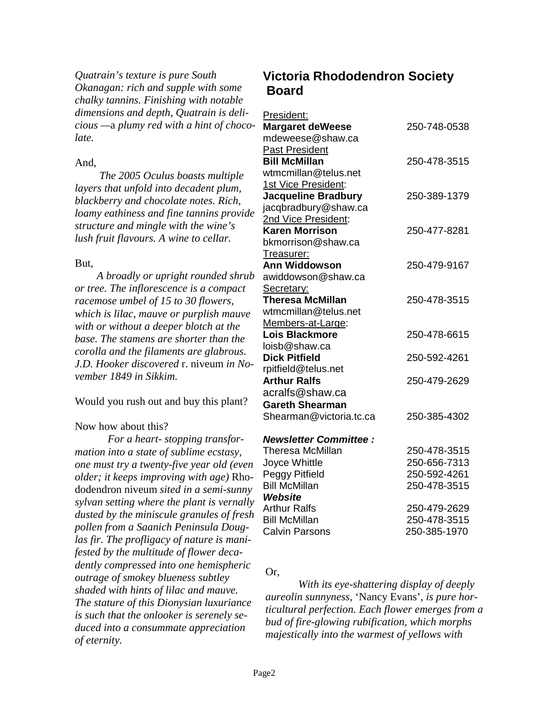*Quatrain's texture is pure South Okanagan: rich and supple with some chalky tannins. Finishing with notable dimensions and depth, Quatrain is delicious —*a *plumy red with a hint of chocolate.* 

#### And,

 *The 2005 Oculus boasts multiple layers that unfold into decadent plum, blackberry and chocolate notes. Rich, loamy eathiness and fine tannins provide structure and mingle with the wine's lush fruit flavours. A wine to cellar.* 

#### But,

 *A broadly or upright rounded shrub or tree. The inflorescence is a compact racemose umbel of 15 to 30 flowers, which is lilac, mauve or purplish mauve with or without a deeper blotch at the base. The stamens are shorter than the corolla and the filaments are glabrous. J.D. Hooker discovered* r. niveum *in November 1849 in Sikkim.* 

Would you rush out and buy this plant?

#### Now how about this?

*For a heart- stopping transformation into a state of sublime ecstasy, one must try a twenty-five year old (even older; it keeps improving with age)* Rhododendron niveum *sited in a semi-sunny sylvan setting where the plant is vernally dusted by the miniscule granules of fresh pollen from a Saanich Peninsula Douglas fir. The profligacy of nature is manifested by the multitude of flower decadently compressed into one hemispheric outrage of smokey blueness subtley shaded with hints of lilac and mauve. The stature of this Dionysian luxuriance is such that the onlooker is serenely seduced into a consummate appreciation of eternity.* 

# **Victoria Rhododendron Society Board**

#### President:

| <b>Margaret deWeese</b>      | 250-748-0538 |
|------------------------------|--------------|
| mdeweese@shaw.ca             |              |
| <b>Past President</b>        |              |
| <b>Bill McMillan</b>         | 250-478-3515 |
| wtmcmillan@telus.net         |              |
| 1st Vice President:          |              |
| <b>Jacqueline Bradbury</b>   | 250-389-1379 |
| jacqbradbury@shaw.ca         |              |
| 2nd Vice President:          |              |
| <b>Karen Morrison</b>        | 250-477-8281 |
| bkmorrison@shaw.ca           |              |
| Treasurer:                   |              |
| Ann Widdowson                | 250-479-9167 |
| awiddowson@shaw.ca           |              |
| Secretary:                   |              |
| <b>Theresa McMillan</b>      | 250-478-3515 |
| wtmcmillan@telus.net         |              |
| Members-at-Large:            |              |
| Lois Blackmore               | 250-478-6615 |
| loisb@shaw.ca                |              |
| <b>Dick Pitfield</b>         | 250-592-4261 |
| rpitfield@telus.net          |              |
| <b>Arthur Ralfs</b>          | 250-479-2629 |
| acralfs@shaw.ca              |              |
| <b>Gareth Shearman</b>       |              |
| Shearman@victoria.tc.ca      | 250-385-4302 |
| <b>Newsletter Committee:</b> |              |
| Theresa McMillan             | 250-478-3515 |
| Joyce Whittle                | 250-656-7313 |
| Peggy Pitfield               | 250-592-4261 |
| <b>Bill McMillan</b>         | 250-478-3515 |
| Website                      |              |
| <b>Arthur Ralfs</b>          | 250-479-2629 |
| <b>Bill McMillan</b>         | 250-478-3515 |
| <b>Calvin Parsons</b>        | 250-385-1970 |
|                              |              |

#### Or,

 *With its eye-shattering display of deeply aureolin sunnyness,* 'Nancy Evans', *is pure horticultural perfection. Each flower emerges from a bud of fire-glowing rubification, which morphs majestically into the warmest of yellows with*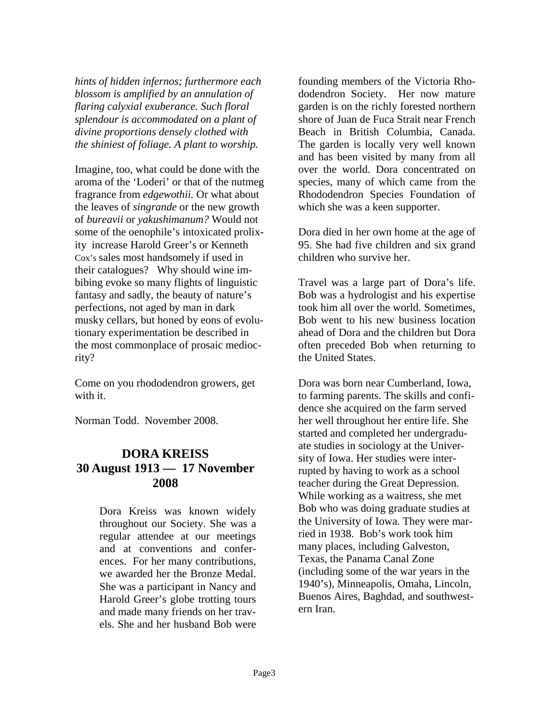*hints of hidden infernos; furthermore each blossom is amplified by an annulation of flaring calyxial exuberance. Such floral splendour is accommodated on a plant of divine proportions densely clothed with the shiniest of foliage. A plant to worship.* 

Imagine, too, what could be done with the aroma of the 'Loderi' or that of the nutmeg fragrance from *edgewothii.* Or what about the leaves of *singrande* or the new growth of *bureavii* or *yakushimanum?* Would not some of the oenophile's intoxicated prolixity increase Harold Greer's or Kenneth Cox's sales most handsomely if used in their catalogues? Why should wine imbibing evoke so many flights of linguistic fantasy and sadly, the beauty of nature's perfections, not aged by man in dark musky cellars, but honed by eons of evolutionary experimentation be described in the most commonplace of prosaic mediocrity?

Come on you rhododendron growers, get with it.

Norman Todd. November 2008.

# **DORA KREISS 30 August 1913 — 17 November 2008**

Dora Kreiss was known widely throughout our Society. She was a regular attendee at our meetings and at conventions and conferences. For her many contributions, we awarded her the Bronze Medal. She was a participant in Nancy and Harold Greer's globe trotting tours and made many friends on her travels. She and her husband Bob were

founding members of the Victoria Rhododendron Society. Her now mature garden is on the richly forested northern shore of Juan de Fuca Strait near French Beach in British Columbia, Canada. The garden is locally very well known and has been visited by many from all over the world. Dora concentrated on species, many of which came from the Rhododendron Species Foundation of which she was a keen supporter.

Dora died in her own home at the age of 95. She had five children and six grand children who survive her.

Travel was a large part of Dora's life. Bob was a hydrologist and his expertise took him all over the world. Sometimes, Bob went to his new business location ahead of Dora and the children but Dora often preceded Bob when returning to the United States.

Dora was born near Cumberland, Iowa, to farming parents. The skills and confidence she acquired on the farm served her well throughout her entire life. She started and completed her undergraduate studies in sociology at the University of Iowa. Her studies were interrupted by having to work as a school teacher during the Great Depression. While working as a waitress, she met Bob who was doing graduate studies at the University of Iowa. They were married in 1938. Bob's work took him many places, including Galveston, Texas, the Panama Canal Zone (including some of the war years in the 1940's), Minneapolis, Omaha, Lincoln, Buenos Aires, Baghdad, and southwestern Iran.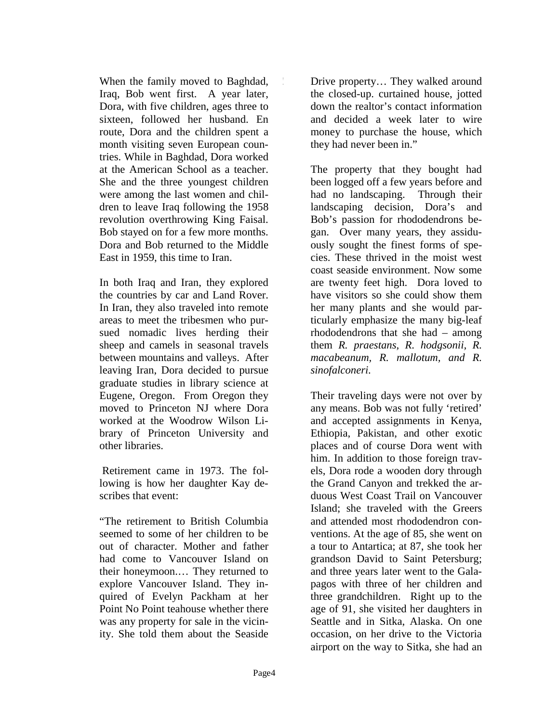When the family moved to Baghdad, Iraq, Bob went first. A year later, Dora, with five children, ages three to sixteen, followed her husband. En route, Dora and the children spent a month visiting seven European countries. While in Baghdad, Dora worked at the American School as a teacher. She and the three youngest children were among the last women and children to leave Iraq following the 1958 revolution overthrowing King Faisal. Bob stayed on for a few more months. Dora and Bob returned to the Middle East in 1959, this time to Iran.

In both Iraq and Iran, they explored the countries by car and Land Rover. In Iran, they also traveled into remote areas to meet the tribesmen who pursued nomadic lives herding their sheep and camels in seasonal travels between mountains and valleys. After leaving Iran, Dora decided to pursue graduate studies in library science at Eugene, Oregon. From Oregon they moved to Princeton NJ where Dora worked at the Woodrow Wilson Library of Princeton University and other libraries.

 Retirement came in 1973. The following is how her daughter Kay describes that event:

"The retirement to British Columbia seemed to some of her children to be out of character. Mother and father had come to Vancouver Island on their honeymoon.… They returned to explore Vancouver Island. They inquired of Evelyn Packham at her Point No Point teahouse whether there was any property for sale in the vicinity. She told them about the Seaside Drive property… They walked around the closed-up. curtained house, jotted down the realtor's contact information and decided a week later to wire money to purchase the house, which they had never been in."

The property that they bought had been logged off a few years before and had no landscaping. Through their landscaping decision, Dora's and Bob's passion for rhododendrons began. Over many years, they assiduously sought the finest forms of species. These thrived in the moist west coast seaside environment. Now some are twenty feet high. Dora loved to have visitors so she could show them her many plants and she would particularly emphasize the many big-leaf rhododendrons that she had – among them *R. praestans, R. hodgsonii, R. macabeanum, R. mallotum, and R. sinofalconeri.*

Their traveling days were not over by any means. Bob was not fully 'retired' and accepted assignments in Kenya, Ethiopia, Pakistan, and other exotic places and of course Dora went with him. In addition to those foreign travels, Dora rode a wooden dory through the Grand Canyon and trekked the arduous West Coast Trail on Vancouver Island; she traveled with the Greers and attended most rhododendron conventions. At the age of 85, she went on a tour to Antartica; at 87, she took her grandson David to Saint Petersburg; and three years later went to the Galapagos with three of her children and three grandchildren. Right up to the age of 91, she visited her daughters in Seattle and in Sitka, Alaska. On one occasion, on her drive to the Victoria airport on the way to Sitka, she had an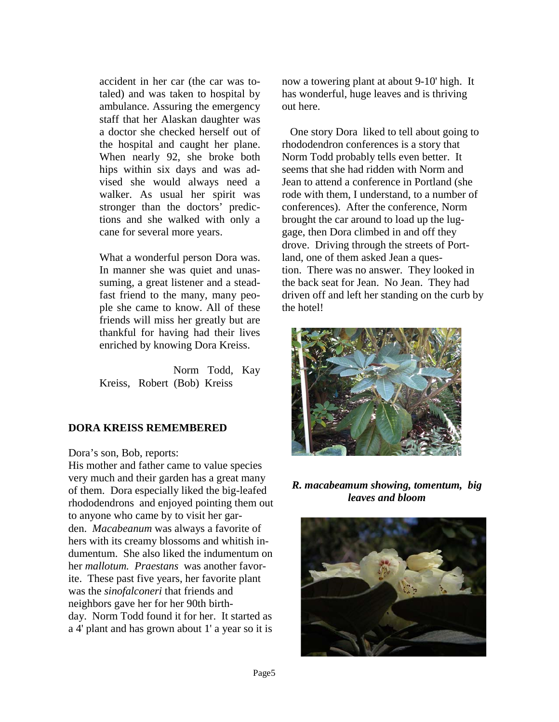accident in her car (the car was totaled) and was taken to hospital by ambulance. Assuring the emergency staff that her Alaskan daughter was a doctor she checked herself out of the hospital and caught her plane. When nearly 92, she broke both hips within six days and was advised she would always need a walker. As usual her spirit was stronger than the doctors' predictions and she walked with only a cane for several more years.

What a wonderful person Dora was. In manner she was quiet and unassuming, a great listener and a steadfast friend to the many, many people she came to know. All of these friends will miss her greatly but are thankful for having had their lives enriched by knowing Dora Kreiss.

 Norm Todd, Kay Kreiss, Robert (Bob) Kreiss

### **DORA KREISS REMEMBERED**

Dora's son, Bob, reports:

His mother and father came to value species very much and their garden has a great many of them. Dora especially liked the big-leafed rhododendrons and enjoyed pointing them out to anyone who came by to visit her garden. *Macabeanum* was always a favorite of hers with its creamy blossoms and whitish indumentum. She also liked the indumentum on her *mallotum. Praestans* was another favorite. These past five years, her favorite plant was the *sinofalconeri* that friends and neighbors gave her for her 90th birthday. Norm Todd found it for her. It started as a 4' plant and has grown about 1' a year so it is

now a towering plant at about 9-10' high. It has wonderful, huge leaves and is thriving out here.

 One story Dora liked to tell about going to rhododendron conferences is a story that Norm Todd probably tells even better. It seems that she had ridden with Norm and Jean to attend a conference in Portland (she rode with them, I understand, to a number of conferences). After the conference, Norm brought the car around to load up the luggage, then Dora climbed in and off they drove. Driving through the streets of Portland, one of them asked Jean a question. There was no answer. They looked in the back seat for Jean. No Jean. They had driven off and left her standing on the curb by the hotel!



*R. macabeamum showing, tomentum, big leaves and bloom* 

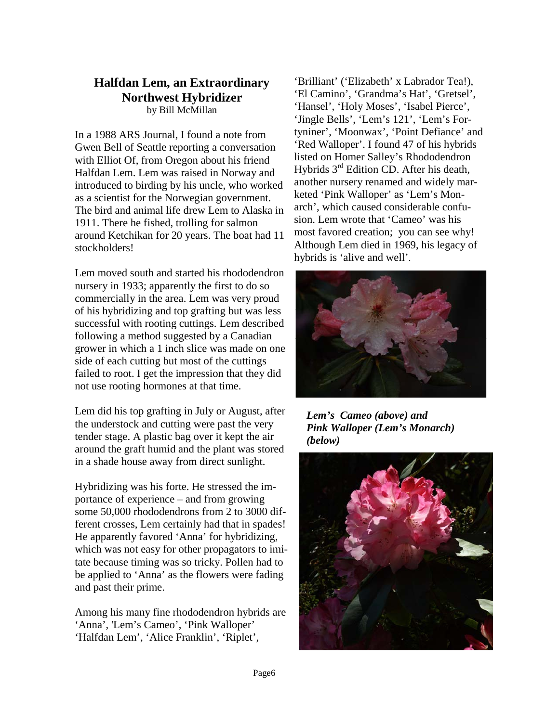### **Halfdan Lem, an Extraordinary Northwest Hybridizer**  by Bill McMillan

In a 1988 ARS Journal, I found a note from Gwen Bell of Seattle reporting a conversation with Elliot Of, from Oregon about his friend Halfdan Lem. Lem was raised in Norway and introduced to birding by his uncle, who worked as a scientist for the Norwegian government. The bird and animal life drew Lem to Alaska in 1911. There he fished, trolling for salmon around Ketchikan for 20 years. The boat had 11 stockholders!

Lem moved south and started his rhododendron nursery in 1933; apparently the first to do so commercially in the area. Lem was very proud of his hybridizing and top grafting but was less successful with rooting cuttings. Lem described following a method suggested by a Canadian grower in which a 1 inch slice was made on one side of each cutting but most of the cuttings failed to root. I get the impression that they did not use rooting hormones at that time.

Lem did his top grafting in July or August, after the understock and cutting were past the very tender stage. A plastic bag over it kept the air around the graft humid and the plant was stored in a shade house away from direct sunlight.

Hybridizing was his forte. He stressed the importance of experience – and from growing some 50,000 rhododendrons from 2 to 3000 different crosses, Lem certainly had that in spades! He apparently favored 'Anna' for hybridizing, which was not easy for other propagators to imitate because timing was so tricky. Pollen had to be applied to 'Anna' as the flowers were fading and past their prime.

Among his many fine rhododendron hybrids are 'Anna', 'Lem's Cameo', 'Pink Walloper' 'Halfdan Lem', 'Alice Franklin', 'Riplet',

'Brilliant' ('Elizabeth' x Labrador Tea!), 'El Camino', 'Grandma's Hat', 'Gretsel', 'Hansel', 'Holy Moses', 'Isabel Pierce', 'Jingle Bells', 'Lem's 121', 'Lem's Fortyniner', 'Moonwax', 'Point Defiance' and 'Red Walloper'. I found 47 of his hybrids listed on Homer Salley's Rhododendron Hybrids 3rd Edition CD. After his death, another nursery renamed and widely marketed 'Pink Walloper' as 'Lem's Monarch', which caused considerable confusion. Lem wrote that 'Cameo' was his most favored creation; you can see why! Although Lem died in 1969, his legacy of hybrids is 'alive and well'.



*Lem's Cameo (above) and Pink Walloper (Lem's Monarch) (below)* 

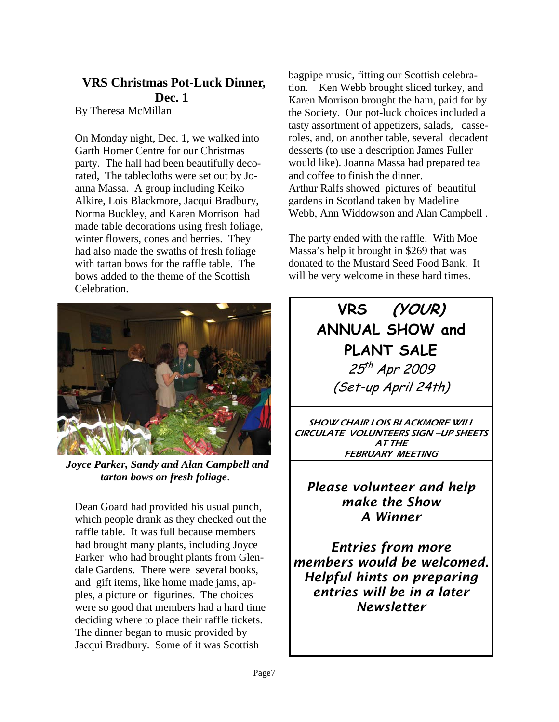# **VRS Christmas Pot-Luck Dinner, Dec. 1**

By Theresa McMillan

On Monday night, Dec. 1, we walked into Garth Homer Centre for our Christmas party. The hall had been beautifully decorated, The tablecloths were set out by Joanna Massa. A group including Keiko Alkire, Lois Blackmore, Jacqui Bradbury, Norma Buckley, and Karen Morrison had made table decorations using fresh foliage, winter flowers, cones and berries. They had also made the swaths of fresh foliage with tartan bows for the raffle table. The bows added to the theme of the Scottish Celebration.



 *Joyce Parker, Sandy and Alan Campbell and tartan bows on fresh foliage*.

Dean Goard had provided his usual punch, which people drank as they checked out the raffle table. It was full because members had brought many plants, including Joyce Parker who had brought plants from Glendale Gardens. There were several books, and gift items, like home made jams, apples, a picture or figurines. The choices were so good that members had a hard time deciding where to place their raffle tickets. The dinner began to music provided by Jacqui Bradbury. Some of it was Scottish

bagpipe music, fitting our Scottish celebration. Ken Webb brought sliced turkey, and Karen Morrison brought the ham, paid for by the Society. Our pot-luck choices included a tasty assortment of appetizers, salads, casseroles, and, on another table, several decadent desserts (to use a description James Fuller would like). Joanna Massa had prepared tea and coffee to finish the dinner. Arthur Ralfs showed pictures of beautiful gardens in Scotland taken by Madeline Webb, Ann Widdowson and Alan Campbell .

The party ended with the raffle. With Moe Massa's help it brought in \$269 that was donated to the Mustard Seed Food Bank. It will be very welcome in these hard times.

# **VRS (YOUR) ANNUAL SHOW and PLANT SALE**  25<sup>th</sup> Apr 2009 (Set-up April 24th)

SHOW CHAIR LOIS BLACKMORE WILL CIRCULATE VOLUNTEERS SIGN –UP SHEETS AT THE FEBRUARY MEETING

# *Please volunteer and help make the Show A Winner*

*Entries from more members would be welcomed. Helpful hints on preparing entries will be in a later Newsletter*